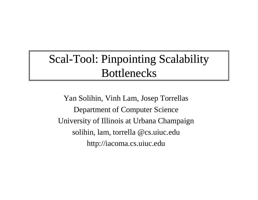#### Scal-Tool: Pinpointing Scalability **Bottlenecks**

Yan Solihin, Vinh Lam, Josep Torrellas Department of Computer Science University of Illinois at Urbana Champaign solihin, lam, torrella @cs.uiuc.edu http://iacoma.cs.uiuc.edu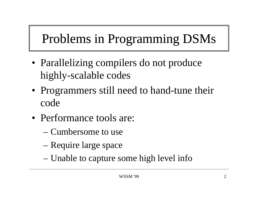#### Problems in Programming DSM s

- Parallelizing compilers do not produce highly-scalable codes
- Programmers still need to hand-tune their code
- Performance tools are:
	- Cumbersome to use
	- Require large space
	- Unable to capture some high level info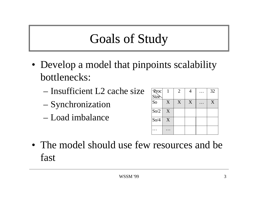# Goals of Study

- Develop a model that pinpoints scalability bottlenecks:
	- Insufficient L2 cache size
	- Synchronization
	- $-$  Load imbalance  $\overline{\mathcal{S}_{0/4}}$

| Rroc<br>Size   |   | $\overline{2}$ | 4 | 32 |
|----------------|---|----------------|---|----|
|                |   |                |   |    |
| S <sub>o</sub> | X | X              | X | X  |
| So/2           | X |                |   |    |
| So/4           | X |                |   |    |
|                |   |                |   |    |

• The model should use few resources and be fast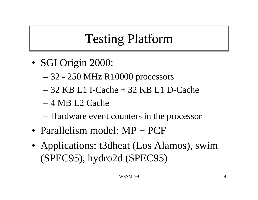# **Testing Platform**

- SGI Origin 2000:
	- 32 250 MHz R10000 processors
	- 32 KB L1 I-Cache + 32 KB L1 D-Cache
	- 4 MB L2 Cache
	- Hardware event counters in the processor
- Parallelism model: MP + PCF
- Applications: t3dheat (Los Alamos), swim (SPEC95), hydro2d (SPEC95)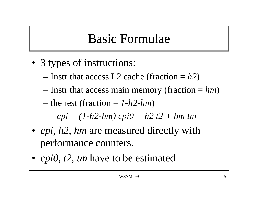# Basic Formulae

- 3 types of instructions:
	- Instr that access L2 cache (fraction = *h2*)
	- $-$  Instr that access main memory (fraction  $= h m$ )
	- the rest (fraction = *1-h2-hm*)

*cpi = (1-h2-hm) cpi0 + h2 t2 + hm tm*

- *cpi, h2, hm* are measured directly with performance counters.
- *cpi0, t2, tm* have to be estimated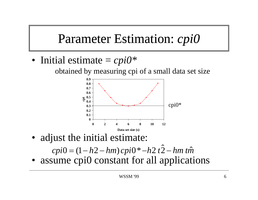# Parameter Estimation: *cpi0*

• Initial estimate  $=$ *cpi0 \**

obtained by measuring cpi of a small data set size



• adjust the initial estimate:

*cpi h hm cpi h t* 2 *hm tm*<sup>ˆ</sup> ˆ $0 = (1 - h2 - hm)$  cpi $0 - h2t$ \* $* - h2 t2 -$ 

• assume cpi0 constant for all applications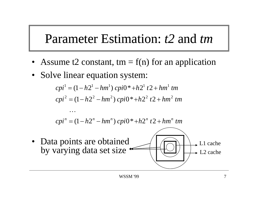### Parameter Estimation: *t2* and *tm*

- Assume t2 constant, tm =  $f(n)$  for an application  $=$  1(11) for an applicatio
- Solve linear equation system:

 $\cdots$ 

 $cpi^1 = (1 - h2^1 - hm^1)$   $cpi0* + h2^1$   $t2 + hm^1$   $tm$  $cpi^{2} = (1 - h2^{2} - hm^{2})$   $cpi0* + h2^{2}$   $t2 + hm^{2}$   $tm$ 2 (1  $\ln 2$   $\ln 2$   $\ln 2$   $\ln 2$   $\ln 2$   $\ln 2$ 

 $cpi^n = (1 - h2^n - hm^n)$   $cpi0* + h2^n$   $t2 + hm^n$   $tm$ 

• Data points are obtaine d by varying data set size L1 cache L2 cache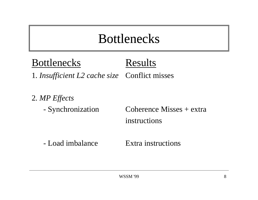## Bottlenecks

BottlenecksResults

1. *Insufficient L2 cache size* Conflict misses

2. *MP Effects*

- Synchronization

Coherence Misses  $+$  extra instructions

- Load imbalance Load imbalance Extra instructions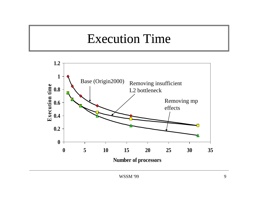### **Execution Time**

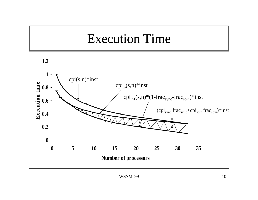### **Execution Time**

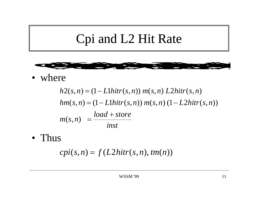#### Cpi and L2 Hit Rat i and L2 Hit Rate



• where

$$
h2(s, n) = (1 - L1hitr(s, n)) m(s, n) L2hitr(s, n)
$$
  
\n
$$
hm(s, n) = (1 - L1hitr(s, n)) m(s, n) (1 - L2hitr(s, n))
$$
  
\n
$$
m(s, n) = \frac{load + store}{inst}
$$

• Thus

 $cpi(s, n) = f(L2hitr(s, n), tm(n))$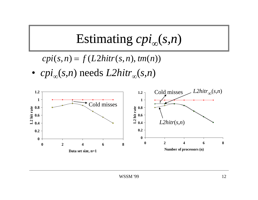Estimating 
$$
cpi_{\infty}(s, n)
$$

 $cpi(s, n) = f(L2hitr(s, n), tm(n))$ 

• *cpi*∞(*s,n*) needs *L2hitr*∞(*s,n*)

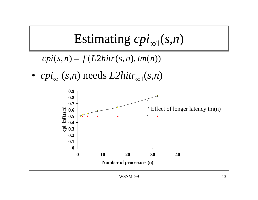Estimating 
$$
cpi_{\infty 1}(s, n)
$$

 $cpi(s, n) = f(L2hitr(s, n), tm(n))$ 

• *cpi*∞1(*s,n*) needs *L2hitr*∞1(*s,n*)